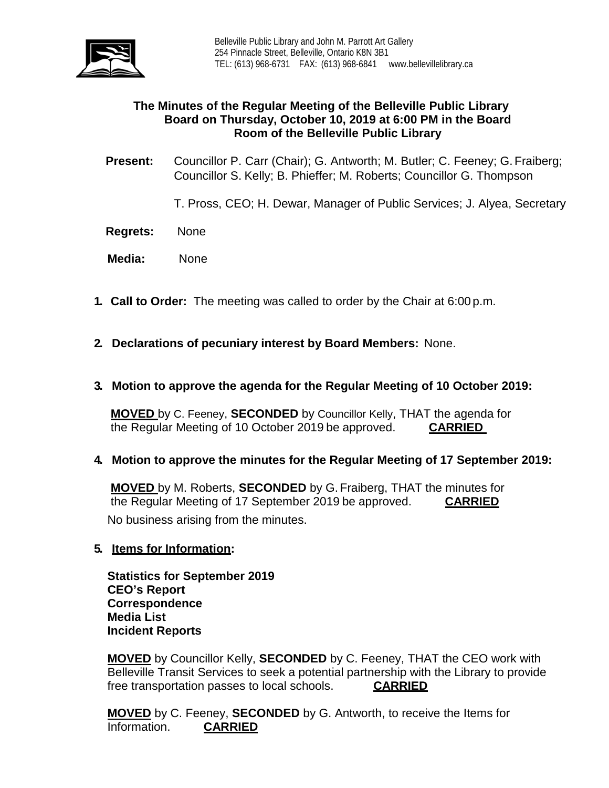

# **The Minutes of the Regular Meeting of the Belleville Public Library Board on Thursday, October 10, 2019 at 6:00 PM in the Board Room of the Belleville Public Library**

**Present:** Councillor P. Carr (Chair); G. Antworth; M. Butler; C. Feeney; G.Fraiberg; Councillor S. Kelly; B. Phieffer; M. Roberts; Councillor G. Thompson

T. Pross, CEO; H. Dewar, Manager of Public Services; J. Alyea, Secretary

- **Regrets:** None
- **Media:** None
- **1. Call to Order:** The meeting was called to order by the Chair at 6:00 p.m.
- **2. Declarations of pecuniary interest by Board Members:** None.
- **3. Motion to approve the agenda for the Regular Meeting of 10 October 2019:**

**MOVED** by C. Feeney, **SECONDED** by Councillor Kelly, THAT the agenda for the Regular Meeting of 10 October 2019 be approved. **CARRIED**

# **4. Motion to approve the minutes for the Regular Meeting of 17 September 2019:**

**MOVED** by M. Roberts, **SECONDED** by G.Fraiberg, THAT the minutes for the Regular Meeting of 17 September 2019 be approved. **CARRIED** No business arising from the minutes.

# **5. Items for Information:**

**Statistics for September 2019 CEO's Report Correspondence Media List Incident Reports**

**MOVED** by Councillor Kelly, **SECONDED** by C. Feeney, THAT the CEO work with Belleville Transit Services to seek a potential partnership with the Library to provide free transportation passes to local schools. **CARRIED** 

**MOVED** by C. Feeney, **SECONDED** by G. Antworth, to receive the Items for Information. **CARRIED**